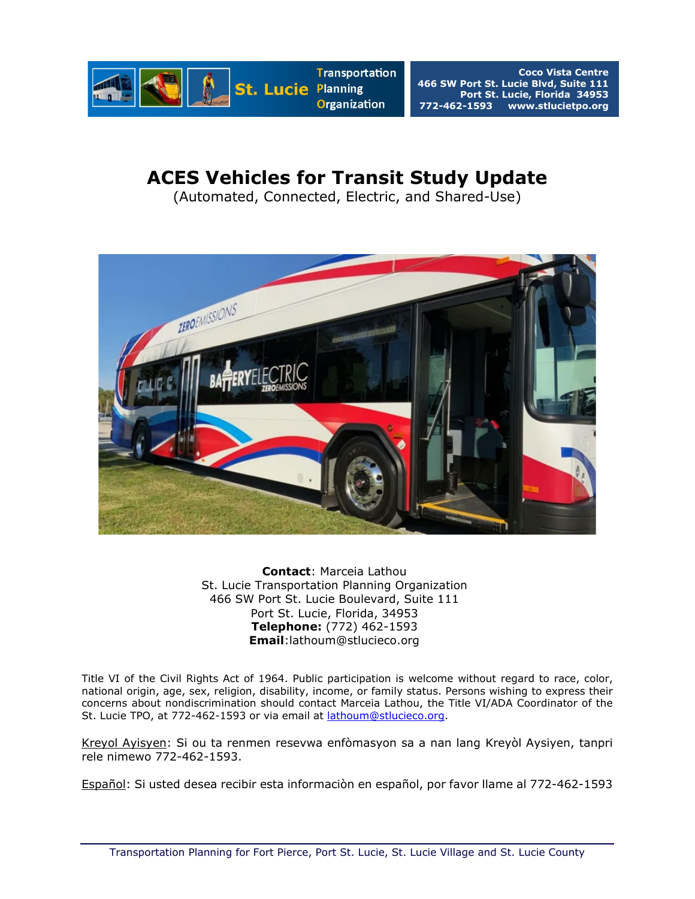

# **ACES Vehicles for Transit Study Update**

(Automated, Connected, Electric, and Shared-Use)



**Contact**: Marceia Lathou St. Lucie Transportation Planning Organization 466 SW Port St. Lucie Boulevard, Suite 111 Port St. Lucie, Florida, 34953 **Telephone:** (772) 462-1593 **Email**:lathoum@stlucieco.org

Title VI of the Civil Rights Act of 1964. Public participation is welcome without regard to race, color, national origin, age, sex, religion, disability, income, or family status. Persons wishing to express their concerns about nondiscrimination should contact Marceia Lathou, the Title VI/ADA Coordinator of the St. Lucie TPO, at 772-462-1593 or via email at *lathoum@stlucieco.org*.

Kreyol Ayisyen: Si ou ta renmen resevwa enfòmasyon sa a nan lang Kreyòl Aysiyen, tanpri rele nimewo 772-462-1593.

Español: Si usted desea recibir esta informaciòn en español, por favor llame al 772-462-1593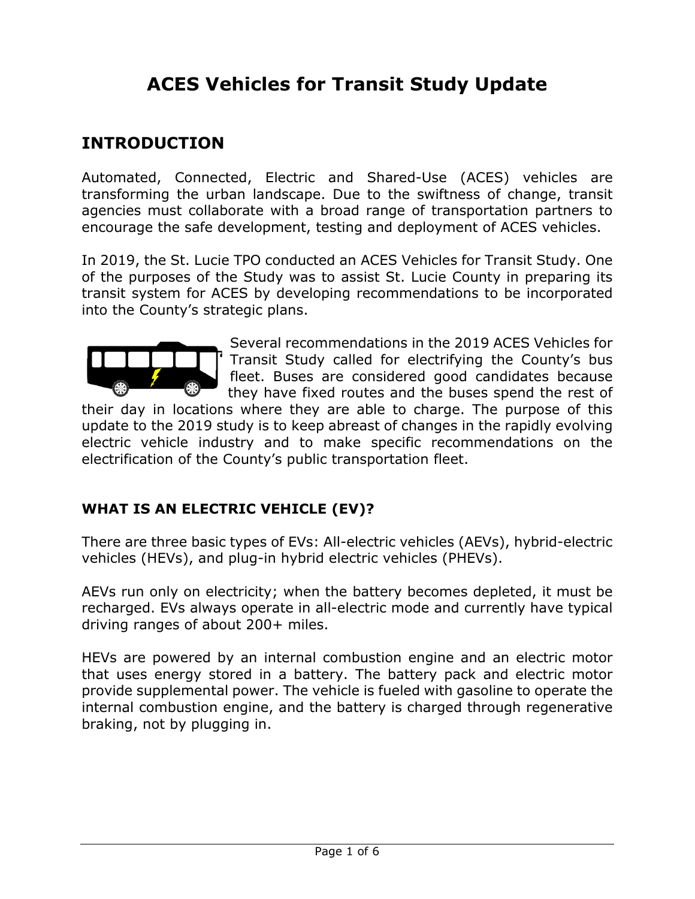# **ACES Vehicles for Transit Study Update**

### **INTRODUCTION**

Automated, Connected, Electric and Shared-Use (ACES) vehicles are transforming the urban landscape. Due to the swiftness of change, transit agencies must collaborate with a broad range of transportation partners to encourage the safe development, testing and deployment of ACES vehicles.

In 2019, the St. Lucie TPO conducted an ACES Vehicles for Transit Study. One of the purposes of the Study was to assist St. Lucie County in preparing its transit system for ACES by developing recommendations to be incorporated into the County's strategic plans.



Several recommendations in the 2019 ACES Vehicles for Transit Study called for electrifying the County's bus fleet. Buses are considered good candidates because they have fixed routes and the buses spend the rest of

their day in locations where they are able to charge. The purpose of this update to the 2019 study is to keep abreast of changes in the rapidly evolving electric vehicle industry and to make specific recommendations on the electrification of the County's public transportation fleet.

#### **WHAT IS AN ELECTRIC VEHICLE (EV)?**

There are three basic types of EVs: All-electric vehicles (AEVs), hybrid-electric vehicles (HEVs), and plug-in hybrid electric vehicles (PHEVs).

AEVs run only on electricity; when the battery becomes depleted, it must be recharged. EVs always operate in all-electric mode and currently have typical driving ranges of about 200+ miles.

HEVs are powered by an internal combustion engine and an electric motor that uses energy stored in a battery. The battery pack and electric motor provide supplemental power. The vehicle is fueled with gasoline to operate the internal combustion engine, and the battery is charged through regenerative braking, not by plugging in.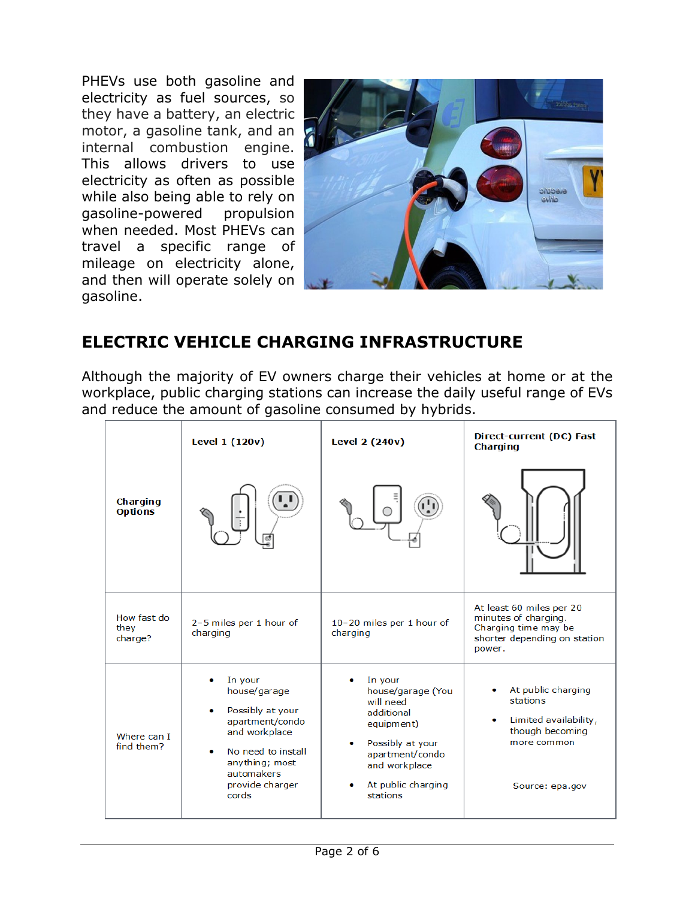PHEVs use both gasoline and electricity as fuel sources, so they have a battery, an electric motor, a gasoline tank, and an internal combustion engine. This allows drivers to use electricity as often as possible while also being able to rely on gasoline-powered propulsion when needed. Most PHEVs can travel a specific range of mileage on electricity alone, and then will operate solely on gasoline.



## **ELECTRIC VEHICLE CHARGING INFRASTRUCTURE**

Although the majority of EV owners charge their vehicles at home or at the workplace, public charging stations can increase the daily useful range of EVs and reduce the amount of gasoline consumed by hybrids.

|                                | Level 1 (120v)                                                                                                                                                                      | <b>Level 2 (240v)</b>                                                                                                                                           | Direct-current (DC) Fast<br><b>Charging</b>                                                                        |
|--------------------------------|-------------------------------------------------------------------------------------------------------------------------------------------------------------------------------------|-----------------------------------------------------------------------------------------------------------------------------------------------------------------|--------------------------------------------------------------------------------------------------------------------|
| Charging<br><b>Options</b>     |                                                                                                                                                                                     |                                                                                                                                                                 |                                                                                                                    |
| How fast do<br>they<br>charge? | 2-5 miles per 1 hour of<br>charging                                                                                                                                                 | 10-20 miles per 1 hour of<br>charging                                                                                                                           | At least 60 miles per 20<br>minutes of charging.<br>Charging time may be<br>shorter depending on station<br>power. |
| Where can I<br>find them?      | In your<br>house/garage<br>Possibly at your<br>۰<br>apartment/condo<br>and workplace<br>No need to install<br>$\bullet$<br>anything; most<br>automakers<br>provide charger<br>cords | In your<br>house/garage (You<br>will need<br>additional<br>equipment)<br>Possibly at your<br>apartment/condo<br>and workplace<br>At public charging<br>stations | At public charging<br>stations<br>Limited availability,<br>though becoming<br>more common<br>Source: epa.gov       |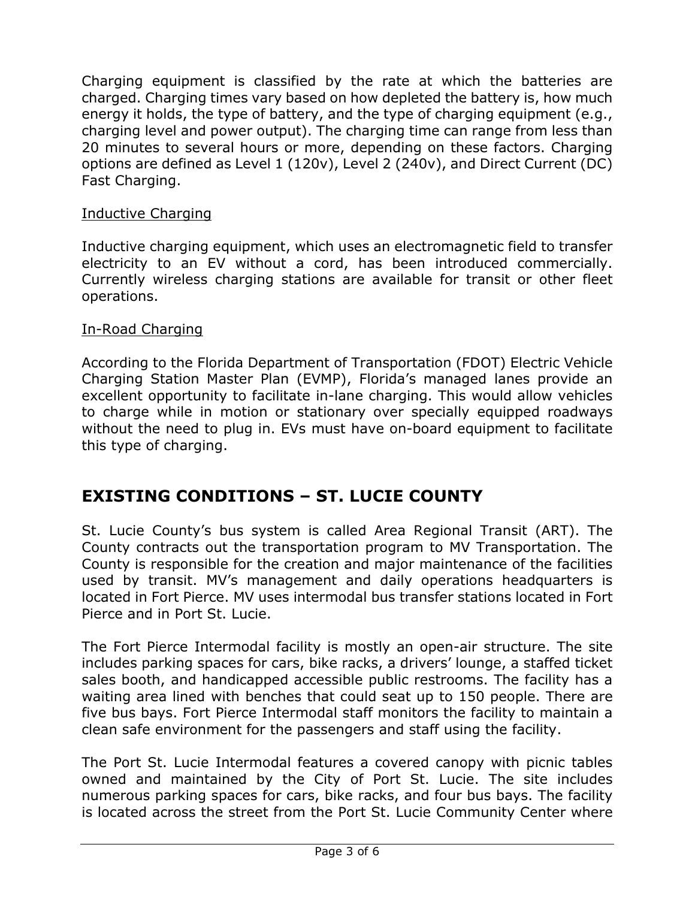Charging equipment is classified by the rate at which the batteries are charged. Charging times vary based on how depleted the battery is, how much energy it holds, the type of battery, and the type of charging equipment (e.g., charging level and power output). The charging time can range from less than 20 minutes to several hours or more, depending on these factors. Charging options are defined as Level 1 (120v), Level 2 (240v), and Direct Current (DC) Fast Charging.

#### Inductive Charging

Inductive charging equipment, which uses an electromagnetic field to transfer electricity to an EV without a cord, has been introduced commercially. Currently wireless charging stations are available for transit or other fleet operations.

#### In-Road Charging

According to the Florida Department of Transportation (FDOT) Electric Vehicle Charging Station Master Plan (EVMP), Florida's managed lanes provide an excellent opportunity to facilitate in-lane charging. This would allow vehicles to charge while in motion or stationary over specially equipped roadways without the need to plug in. EVs must have on-board equipment to facilitate this type of charging.

### **EXISTING CONDITIONS – ST. LUCIE COUNTY**

St. Lucie County's bus system is called Area Regional Transit (ART). The County contracts out the transportation program to MV Transportation. The County is responsible for the creation and major maintenance of the facilities used by transit. MV's management and daily operations headquarters is located in Fort Pierce. MV uses intermodal bus transfer stations located in Fort Pierce and in Port St. Lucie.

The Fort Pierce Intermodal facility is mostly an open-air structure. The site includes parking spaces for cars, bike racks, a drivers' lounge, a staffed ticket sales booth, and handicapped accessible public restrooms. The facility has a waiting area lined with benches that could seat up to 150 people. There are five bus bays. Fort Pierce Intermodal staff monitors the facility to maintain a clean safe environment for the passengers and staff using the facility.

The Port St. Lucie Intermodal features a covered canopy with picnic tables owned and maintained by the City of Port St. Lucie. The site includes numerous parking spaces for cars, bike racks, and four bus bays. The facility is located across the street from the Port St. Lucie Community Center where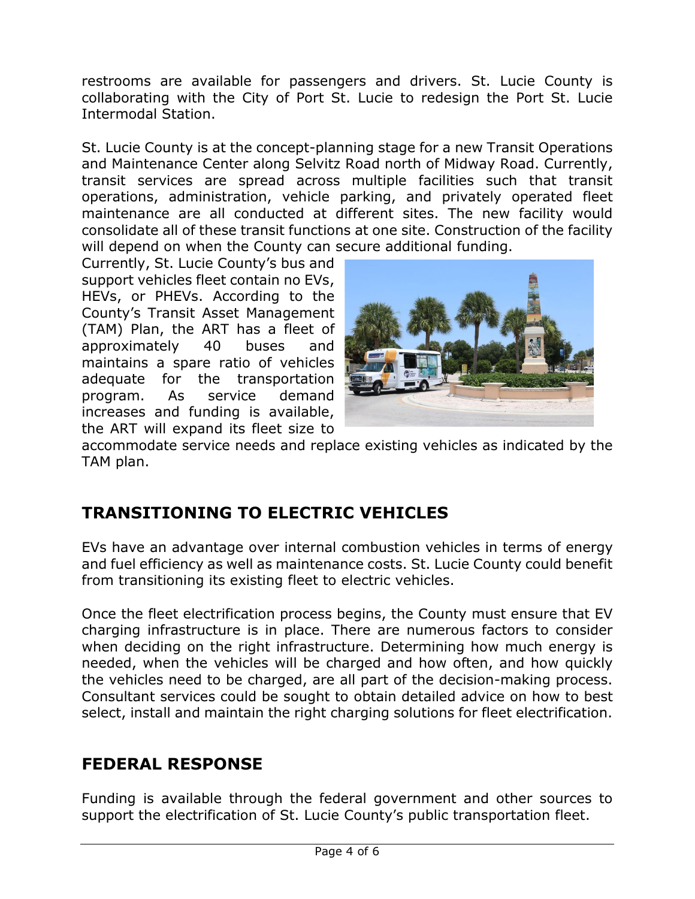restrooms are available for passengers and drivers. St. Lucie County is collaborating with the City of Port St. Lucie to redesign the Port St. Lucie Intermodal Station.

St. Lucie County is at the concept-planning stage for a new Transit Operations and Maintenance Center along Selvitz Road north of Midway Road. Currently, transit services are spread across multiple facilities such that transit operations, administration, vehicle parking, and privately operated fleet maintenance are all conducted at different sites. The new facility would consolidate all of these transit functions at one site. Construction of the facility will depend on when the County can secure additional funding.

Currently, St. Lucie County's bus and support vehicles fleet contain no EVs, HEVs, or PHEVs. According to the County's Transit Asset Management (TAM) Plan, the ART has a fleet of approximately 40 buses and maintains a spare ratio of vehicles adequate for the transportation program. As service demand increases and funding is available, the ART will expand its fleet size to



accommodate service needs and replace existing vehicles as indicated by the TAM plan.

## **TRANSITIONING TO ELECTRIC VEHICLES**

EVs have an advantage over internal combustion vehicles in terms of energy and fuel efficiency as well as maintenance costs. St. Lucie County could benefit from transitioning its existing fleet to electric vehicles.

Once the fleet electrification process begins, the County must ensure that EV charging infrastructure is in place. There are numerous factors to consider when deciding on the right infrastructure. Determining how much energy is needed, when the vehicles will be charged and how often, and how quickly the vehicles need to be charged, are all part of the decision-making process. Consultant services could be sought to obtain detailed advice on how to best select, install and maintain the right charging solutions for fleet electrification.

# **FEDERAL RESPONSE**

Funding is available through the federal government and other sources to support the electrification of St. Lucie County's public transportation fleet.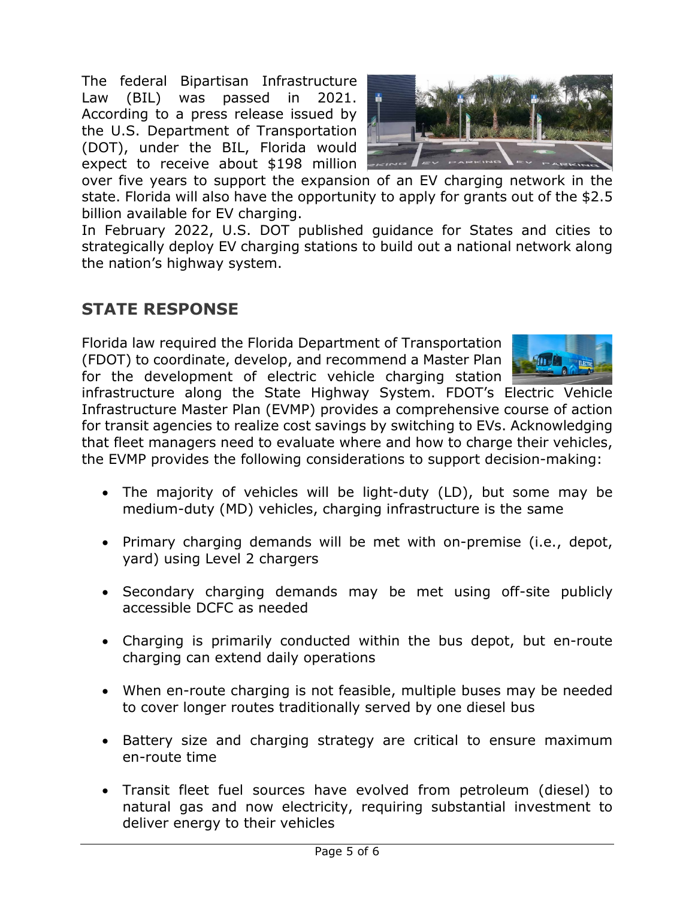The federal Bipartisan Infrastructure Law (BIL) was passed in 2021. According to a press release issued by the U.S. Department of Transportation (DOT), under the BIL, Florida would expect to receive about \$198 million



over five years to support the expansion of an EV charging network in the state. Florida will also have the opportunity to apply for grants out of the \$2.5 billion available for EV charging.

In February 2022, U.S. DOT published guidance for States and cities to strategically deploy EV charging stations to build out a national network along the nation's highway system.

### **STATE RESPONSE**

Florida law required the Florida Department of Transportation (FDOT) to coordinate, develop, and recommend a Master Plan for the development of electric vehicle charging station



infrastructure along the State Highway System. FDOT's Electric Vehicle Infrastructure Master Plan (EVMP) provides a comprehensive course of action for transit agencies to realize cost savings by switching to EVs. Acknowledging that fleet managers need to evaluate where and how to charge their vehicles, the EVMP provides the following considerations to support decision-making:

- The majority of vehicles will be light-duty (LD), but some may be medium-duty (MD) vehicles, charging infrastructure is the same
- Primary charging demands will be met with on-premise (i.e., depot, yard) using Level 2 chargers
- Secondary charging demands may be met using off-site publicly accessible DCFC as needed
- Charging is primarily conducted within the bus depot, but en-route charging can extend daily operations
- When en-route charging is not feasible, multiple buses may be needed to cover longer routes traditionally served by one diesel bus
- Battery size and charging strategy are critical to ensure maximum en-route time
- Transit fleet fuel sources have evolved from petroleum (diesel) to natural gas and now electricity, requiring substantial investment to deliver energy to their vehicles